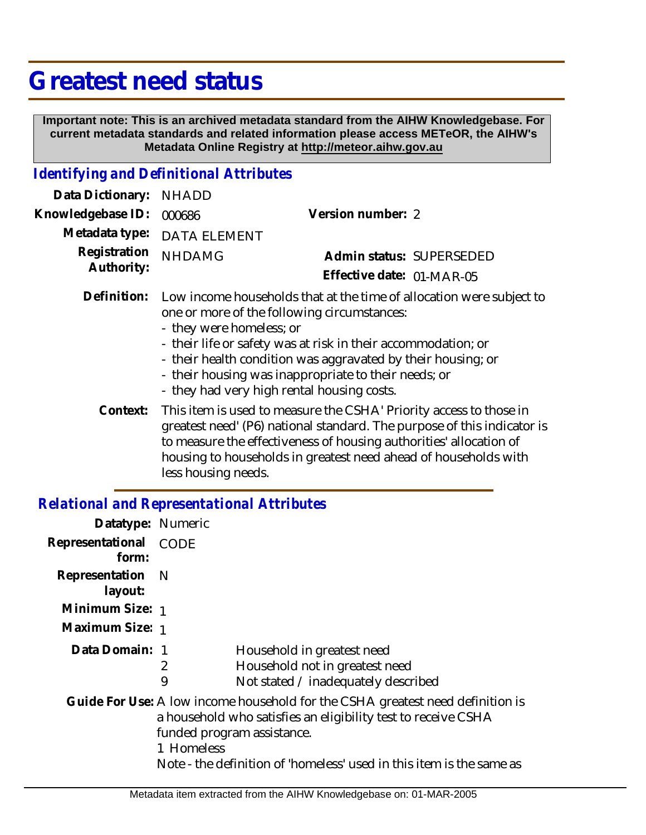## **Greatest need status**

 **Important note: This is an archived metadata standard from the AIHW Knowledgebase. For current metadata standards and related information please access METeOR, the AIHW's Metadata Online Registry at http://meteor.aihw.gov.au**

## *Identifying and Definitional Attributes*

| Data Dictionary:                             | <b>NHADD</b>                                                                                                                                                                                                                                                                                                                                                                           |                           |
|----------------------------------------------|----------------------------------------------------------------------------------------------------------------------------------------------------------------------------------------------------------------------------------------------------------------------------------------------------------------------------------------------------------------------------------------|---------------------------|
| Knowledgebase ID:                            | 000686                                                                                                                                                                                                                                                                                                                                                                                 | Version number: 2         |
| Metadata type:<br>Registration<br>Authority: | <b>DATA ELEMENT</b>                                                                                                                                                                                                                                                                                                                                                                    |                           |
|                                              | <b>NHDAMG</b>                                                                                                                                                                                                                                                                                                                                                                          | Admin status: SUPERSEDED  |
|                                              |                                                                                                                                                                                                                                                                                                                                                                                        | Effective date: 01-MAR-05 |
| Definition:                                  | Low income households that at the time of allocation were subject to<br>one or more of the following circumstances:<br>- they were homeless; or<br>- their life or safety was at risk in their accommodation; or<br>- their health condition was aggravated by their housing; or<br>- their housing was inappropriate to their needs; or<br>- they had very high rental housing costs. |                           |
| Context:                                     | This item is used to measure the CSHA' Priority access to those in<br>greatest need' (P6) national standard. The purpose of this indicator is<br>to measure the effectiveness of housing authorities' allocation of<br>housing to households in greatest need ahead of households with<br>less housing needs.                                                                          |                           |

## *Relational and Representational Attributes*

| Datatype: Numeric                                                                                                                                                                                                                                                   |        |                                                                                                     |
|---------------------------------------------------------------------------------------------------------------------------------------------------------------------------------------------------------------------------------------------------------------------|--------|-----------------------------------------------------------------------------------------------------|
| Representational<br>form:                                                                                                                                                                                                                                           | CODE   |                                                                                                     |
| Representation N<br>layout:                                                                                                                                                                                                                                         |        |                                                                                                     |
| Minimum Size: 1                                                                                                                                                                                                                                                     |        |                                                                                                     |
| Maximum Size: 1                                                                                                                                                                                                                                                     |        |                                                                                                     |
| Data Domain: 1                                                                                                                                                                                                                                                      | 2<br>9 | Household in greatest need<br>Household not in greatest need<br>Not stated / inadequately described |
| Guide For Use: A low income household for the CSHA greatest need definition is<br>a household who satisfies an eligibility test to receive CSHA<br>funded program assistance.<br>1 Homeless<br>Note - the definition of 'homeless' used in this item is the same as |        |                                                                                                     |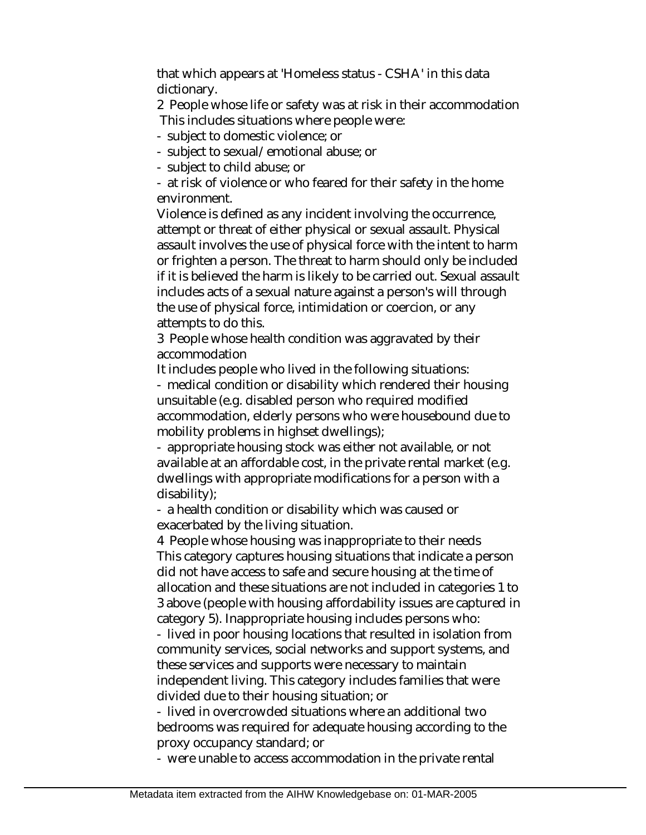that which appears at 'Homeless status - CSHA' in this data dictionary.

2 People whose life or safety was at risk in their accommodation This includes situations where people were:

- subject to domestic violence; or
- subject to sexual/emotional abuse; or
- subject to child abuse; or

- at risk of violence or who feared for their safety in the home environment.

Violence is defined as any incident involving the occurrence, attempt or threat of either physical or sexual assault. Physical assault involves the use of physical force with the intent to harm or frighten a person. The threat to harm should only be included if it is believed the harm is likely to be carried out. Sexual assault includes acts of a sexual nature against a person's will through the use of physical force, intimidation or coercion, or any attempts to do this.

3 People whose health condition was aggravated by their accommodation

It includes people who lived in the following situations:

- medical condition or disability which rendered their housing unsuitable (e.g. disabled person who required modified accommodation, elderly persons who were housebound due to mobility problems in highset dwellings);

- appropriate housing stock was either not available, or not available at an affordable cost, in the private rental market (e.g. dwellings with appropriate modifications for a person with a disability);

- a health condition or disability which was caused or exacerbated by the living situation.

4 People whose housing was inappropriate to their needs This category captures housing situations that indicate a person did not have access to safe and secure housing at the time of allocation and these situations are not included in categories 1 to 3 above (people with housing affordability issues are captured in category 5). Inappropriate housing includes persons who:

- lived in poor housing locations that resulted in isolation from community services, social networks and support systems, and these services and supports were necessary to maintain independent living. This category includes families that were divided due to their housing situation; or

- lived in overcrowded situations where an additional two bedrooms was required for adequate housing according to the proxy occupancy standard; or

- were unable to access accommodation in the private rental